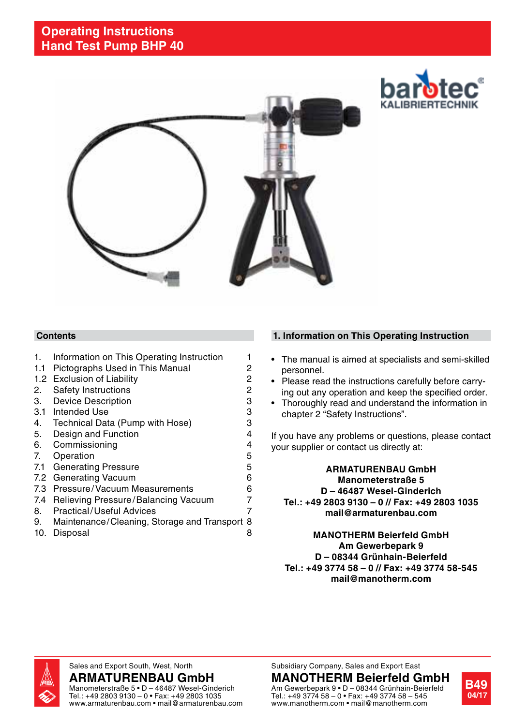



#### **Contents**

- 1. Information on This Operating Instruction 1
- 1.1 Pictographs Used in This Manual 2<br>1.2 Exclusion of Liability 2
- 1.2 Exclusion of Liability
- 2. Safety Instructions 2<br>3. Device Description 3
- 3. Device Description 3.<br>3.1. Intended Use 3.
- 
- 3.1 Intended Use 3<br>3.1 Technical Data (Pump with Hose) 3. 4. Technical Data (Pump with Hose)
- 5. Design and Function **4**
- 6. Commissioning **4**
- 7. Operation 5
- 7.1 Generating Pressure **5**
- 7.2 Generating Vacuum 6
- 7.3 Pressure/Vacuum Measurements 6<br>7.4 Believing Pressure/Balancing Vacuum 7
- 7.4 Relieving Pressure/Balancing Vacuum 8. Practical/Useful Advices 7
- 9. Maintenance/Cleaning, Storage and Transport 8
- 10. Disposal 8

### **1. Information on This Operating Instruction**

- The manual is aimed at specialists and semi-skilled personnel.
- Please read the instructions carefully before carrying out any operation and keep the specified order.
- Thoroughly read and understand the information in chapter 2 "Safety Instructions".

If you have any problems or questions, please contact your supplier or contact us directly at:

#### **ARMATURENBAU GmbH Manometerstraße 5 D – 46487 Wesel-Ginderich Tel.: +49 2803 9130 – 0 // Fax: +49 2803 1035 mail@armaturenbau.com**

**MANOTHERM Beierfeld GmbH Am Gewerbepark 9 D – 08344 Grünhain-Beierfeld Tel.: +49 3774 58 – 0 // Fax: +49 3774 58-545 mail@manotherm.com**



Sales and Export South, West, North

**ARMATURENBAU GmbH** Manometerstraße 5 • D – 46487 Wesel-Ginderich Tel.: +49 2803 9130 – 0 • Fax: +49 2803 1035 www.armaturenbau.com • mail@armaturenbau.com Subsidiary Company, Sales and Export East

Tel.: +49 3774 58 – 0 • Fax: +49 3774 58 – 545 www.manotherm.com • mail@manotherm.com

**MANOTHERM Beierfeld GmbH** Am Gewerbepark 9 • D – 08344 Grünhain-Beierfeld

**B49 04/17**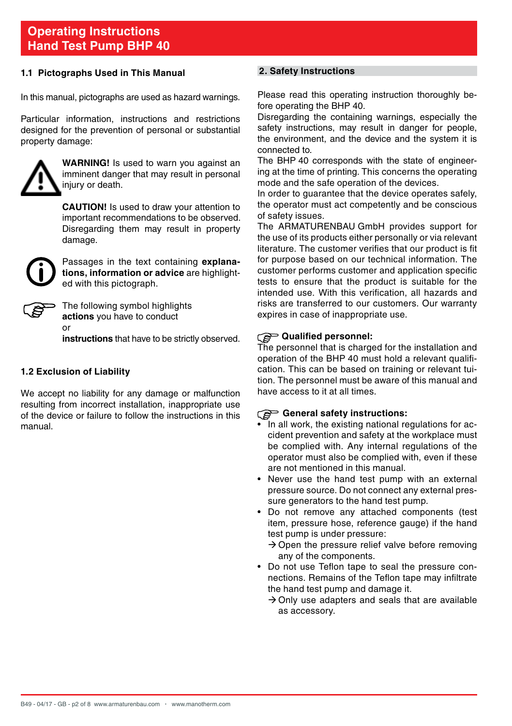#### **1.1 Pictographs Used in This Manual**

In this manual, pictographs are used as hazard warnings.

Particular information, instructions and restrictions designed for the prevention of personal or substantial property damage:



**WARNING!** Is used to warn you against an imminent danger that may result in personal injury or death.

**Caution!** Is used to draw your attention to important recommendations to be observed. Disregarding them may result in property damage.



 Passages in the text containing **explanations, information or advice** are highlighted with this pictograph.

 The following symbol highlights **actions** you have to conduct or

**instructions** that have to be strictly observed.

#### **1.2 Exclusion of Liability**

We accept no liability for any damage or malfunction resulting from incorrect installation, inappropriate use of the device or failure to follow the instructions in this manual.

#### **2. Safety Instructions**

Please read this operating instruction thoroughly before operating the BHP 40.

Disregarding the containing warnings, especially the safety instructions, may result in danger for people. the environment, and the device and the system it is connected to.

The BHP 40 corresponds with the state of engineering at the time of printing. This concerns the operating mode and the safe operation of the devices.

In order to guarantee that the device operates safely, the operator must act competently and be conscious of safety issues.

The ARMATURENBAU GmbH provides support for the use of its products either personally or via relevant literature. The customer verifies that our product is fit for purpose based on our technical information. The customer performs customer and application specific tests to ensure that the product is suitable for the intended use. With this verification, all hazards and risks are transferred to our customers. Our warranty expires in case of inappropriate use.

#### **Qualified personnel:**

The personnel that is charged for the installation and operation of the BHP 40 must hold a relevant qualification. This can be based on training or relevant tuition. The personnel must be aware of this manual and have access to it at all times.

#### **General safety instructions:**

- In all work, the existing national regulations for accident prevention and safety at the workplace must be complied with. Any internal regulations of the operator must also be complied with, even if these are not mentioned in this manual.
- Never use the hand test pump with an external pressure source. Do not connect any external pressure generators to the hand test pump.
- • Do not remove any attached components (test item, pressure hose, reference gauge) if the hand test pump is under pressure:
	- $\rightarrow$  Open the pressure relief valve before removing any of the components.
- • Do not use Teflon tape to seal the pressure connections. Remains of the Teflon tape may infiltrate the hand test pump and damage it.
	- $\rightarrow$  Only use adapters and seals that are available as accessory.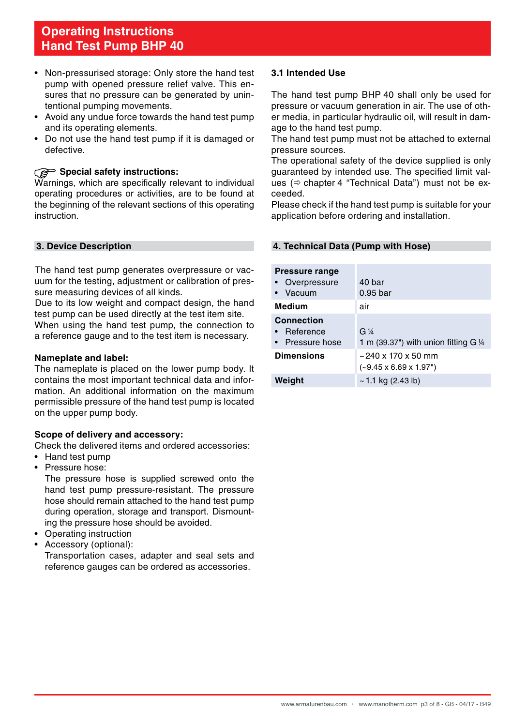- Non-pressurised storage: Only store the hand test pump with opened pressure relief valve. This ensures that no pressure can be generated by unintentional pumping movements.
- Avoid any undue force towards the hand test pump and its operating elements.
- Do not use the hand test pump if it is damaged or defective.

#### **Special safety instructions:**

Warnings, which are specifically relevant to individual operating procedures or activities, are to be found at the beginning of the relevant sections of this operating instruction.

#### **3. Device Description**

The hand test pump generates overpressure or vacuum for the testing, adjustment or calibration of pressure measuring devices of all kinds.

Due to its low weight and compact design, the hand test pump can be used directly at the test item site. When using the hand test pump, the connection to a reference gauge and to the test item is necessary.

#### **Nameplate and label:**

The nameplate is placed on the lower pump body. It contains the most important technical data and information. An additional information on the maximum permissible pressure of the hand test pump is located on the upper pump body.

#### **Scope of delivery and accessory:**

Check the delivered items and ordered accessories:

- • Hand test pump
- Pressure hose:

The pressure hose is supplied screwed onto the hand test pump pressure-resistant. The pressure hose should remain attached to the hand test pump during operation, storage and transport. Dismounting the pressure hose should be avoided.

- Operating instruction
- Accessory (optional):

Transportation cases, adapter and seal sets and reference gauges can be ordered as accessories.

#### **3.1 Intended Use**

The hand test pump BHP 40 shall only be used for pressure or vacuum generation in air. The use of other media, in particular hydraulic oil, will result in damage to the hand test pump.

The hand test pump must not be attached to external pressure sources.

The operational safety of the device supplied is only guaranteed by intended use. The specified limit values  $(\Rightarrow$  chapter 4 "Technical Data") must not be exceeded.

Please check if the hand test pump is suitable for your application before ordering and installation.

#### **4. Technical Data (Pump with Hose)**

| <b>Pressure range</b>  |                                           |
|------------------------|-------------------------------------------|
| Overpressure           | 40 bar                                    |
| Vacuum                 | 0.95 <sub>bar</sub>                       |
| Medium                 | air                                       |
| Connection             |                                           |
| Reference<br>$\bullet$ | G <sub>4</sub>                            |
| • Pressure hose        | 1 m (39.37") with union fitting $G\$      |
| <b>Dimensions</b>      | $\sim$ 240 x 170 x 50 mm                  |
|                        | $(-9.45 \times 6.69 \times 1.97^{\circ})$ |
| Weight                 | $\sim$ 1.1 kg (2.43 lb)                   |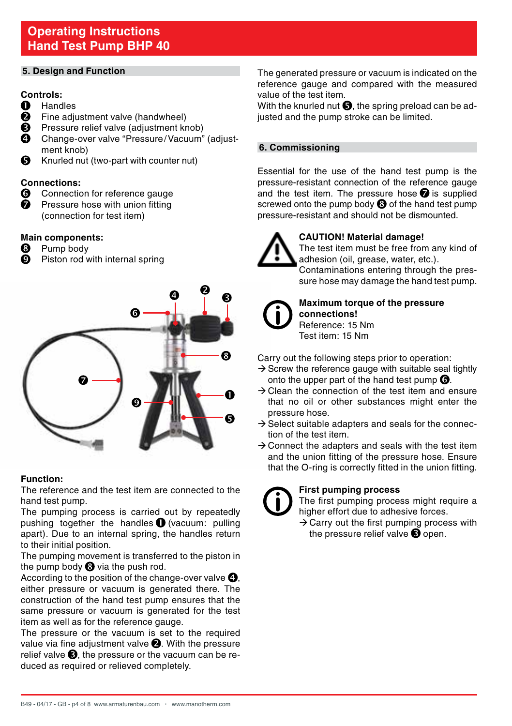#### **5. Design and Function**

#### **Controls:**

- **A** Handles
- **<sup>3</sup>** Fine adjustment valve (handwheel)<br>**6** Pressure relief valve (adjustment kr
- **9** Pressure relief valve (adjustment knob)<br>Change-over valve "Pressure (Vacuum"
- Change-over valve "Pressure/Vacuum" (adjustment knob)
- Knurled nut (two-part with counter nut) A

#### **Connections:**

- **G** Connection for reference gauge<br>**O** Pressure hose with union fitting
- Pressure hose with union fitting (connection for test item)

# **Main components:**<br><sup>3</sup> Pump body

- Pump body
- **9** Piston rod with internal spring



#### **Function:**

The reference and the test item are connected to the hand test pump.

The pumping process is carried out by repeatedly pushing together the handles  $\bigcirc$  (vacuum: pulling apart). Due to an internal spring, the handles return to their initial position.

The pumping movement is transferred to the piston in the pump body  $\Theta$  via the push rod.

According to the position of the change-over valve  $\mathbf{Q}$ , either pressure or vacuum is generated there. The construction of the hand test pump ensures that the same pressure or vacuum is generated for the test item as well as for the reference gauge.

The pressure or the vacuum is set to the required value via fine adjustment valve  $\bigcirc$ . With the pressure relief valve  $\bigcirc$ , the pressure or the vacuum can be reduced as required or relieved completely.

The generated pressure or vacuum is indicated on the reference gauge and compared with the measured value of the test item.

With the knurled nut  $\bullet$ , the spring preload can be adjusted and the pump stroke can be limited.

#### **6. Commissioning**

Essential for the use of the hand test pump is the pressure-resistant connection of the reference gauge and the test item. The pressure hose  $\bigcirc$  is supplied screwed onto the pump body  $\odot$  of the hand test pump pressure-resistant and should not be dismounted.



#### **CAUTION! Material damage!**

 The test item must be free from any kind of adhesion (oil, grease, water, etc.).

 Contaminations entering through the pressure hose may damage the hand test pump.



#### **Maximum torque of the pressure**

**connections!** Reference: 15 Nm Test item: 15 Nm

Carry out the following steps prior to operation:

- $\rightarrow$  Screw the reference gauge with suitable seal tightly onto the upper part of the hand test pump  $\mathbf \Theta$ .
- $\rightarrow$  Clean the connection of the test item and ensure that no oil or other substances might enter the pressure hose.
- $\rightarrow$  Select suitable adapters and seals for the connection of the test item.
- $\rightarrow$  Connect the adapters and seals with the test item and the union fitting of the pressure hose. Ensure that the O-ring is correctly fitted in the union fitting.

#### **First pumping process**

 The first pumping process might require a higher effort due to adhesive forces.

 $\rightarrow$  Carry out the first pumping process with the pressure relief valve  $\bigcirc$  open.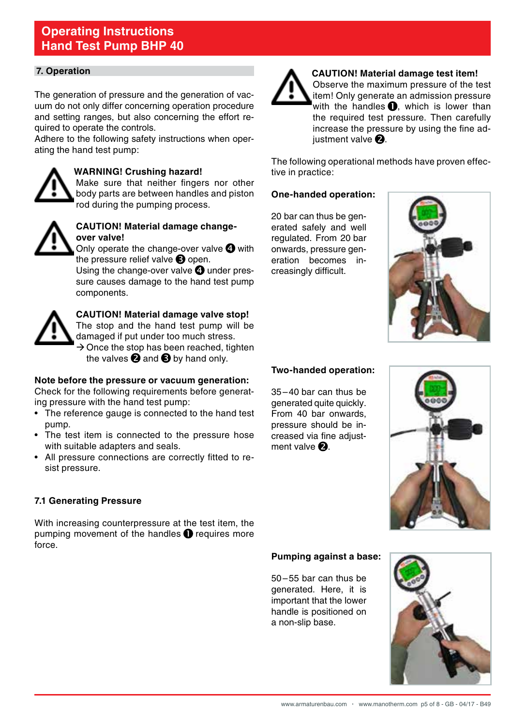#### **7. Operation**

The generation of pressure and the generation of vacuum do not only differ concerning operation procedure and setting ranges, but also concerning the effort required to operate the controls.

Adhere to the following safety instructions when operating the hand test pump:



#### **WARNING! Crushing hazard!**

 Make sure that neither fingers nor other body parts are between handles and piston rod during the pumping process.



#### **CAUTION! Material damage changeover valve!**

Only operate the change-over valve  $\bullet$  with the pressure relief valve  $\bigcirc$  open.

Using the change-over valve  $\boldsymbol{Q}$  under pressure causes damage to the hand test pump components.



## **CAUTION! Material damage valve stop!**

The stop and the hand test pump will be damaged if put under too much stress.  $\rightarrow$  Once the stop has been reached, tighten the valves  $\bullet$  and  $\bullet$  by hand only.

#### **Note before the pressure or vacuum generation:**

Check for the following requirements before generating pressure with the hand test pump:

- The reference gauge is connected to the hand test pump.
- The test item is connected to the pressure hose with suitable adapters and seals.
- • All pressure connections are correctly fitted to resist pressure.

#### **7.1 Generating Pressure**

With increasing counterpressure at the test item, the pumping movement of the handles  $\bullet$  requires more force.



#### **CAUTION! Material damage test item!**

 Observe the maximum pressure of the test item! Only generate an admission pressure with the handles  $\bigcirc$ , which is lower than the required test pressure. Then carefully increase the pressure by using the fine adiustment valve  $\mathbf a$ .

The following operational methods have proven effective in practice:

#### **One-handed operation:**

20 bar can thus be generated safely and well regulated. From 20 bar onwards, pressure generation becomes increasingly difficult.



#### **Two-handed operation:**

35–40 bar can thus be generated quite quickly. From 40 bar onwards, pressure should be increased via fine adjustment valve  $\mathbf{P}$ .



#### **Pumping against a base:**

50–55 bar can thus be generated. Here, it is important that the lower handle is positioned on a non-slip base.

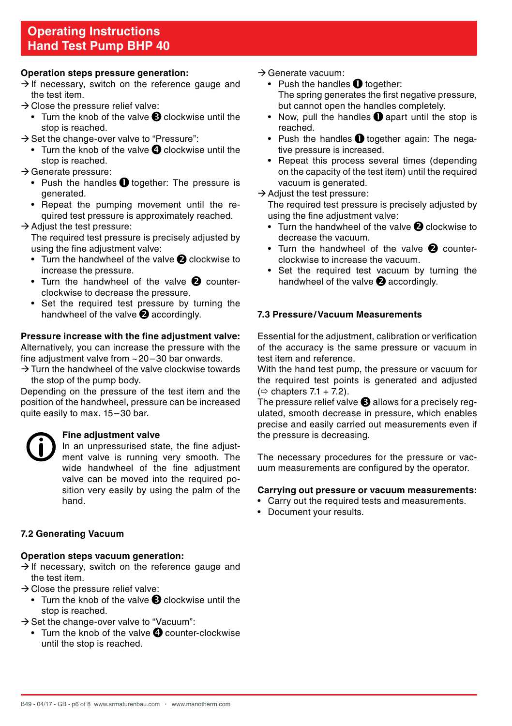#### **Operation steps pressure generation:**

- $\rightarrow$  If necessary, switch on the reference gauge and the test item.
- $\rightarrow$  Close the pressure relief valve:
	- Turn the knob of the valve  $\bigcirc$  clockwise until the stop is reached.
- $\rightarrow$  Set the change-over valve to "Pressure":
	- Turn the knob of the valve  $\bullet$  clockwise until the stop is reached.
- $\rightarrow$  Generate pressure:
	- Push the handles  $\bullet$  together: The pressure is generated.
	- Repeat the pumping movement until the required test pressure is approximately reached.

#### $\rightarrow$  Adjust the test pressure:

The required test pressure is precisely adjusted by using the fine adjustment valve:

- Turn the handwheel of the valve  $\bullet$  clockwise to increase the pressure.
- Turn the handwheel of the valve  $\bullet$  counterclockwise to decrease the pressure.
- Set the required test pressure by turning the handwheel of the valve  $\bullet$  accordingly.

#### **Pressure increase with the fine adjustment valve:**

Alternatively, you can increase the pressure with the fine adjustment valve from  $\approx$  20–30 bar onwards.

 $\rightarrow$  Turn the handwheel of the valve clockwise towards the stop of the pump body.

Depending on the pressure of the test item and the position of the handwheel, pressure can be increased quite easily to max. 15–30 bar.

#### **Fine adjustment valve**

 In an unpressurised state, the fine adjustment valve is running very smooth. The wide handwheel of the fine adjustment valve can be moved into the required position very easily by using the palm of the hand.

#### **7.2 Generating Vacuum**

#### **Operation steps vacuum generation:**

- $\rightarrow$  If necessary, switch on the reference gauge and the test item.
- $\rightarrow$  Close the pressure relief valve:
	- Turn the knob of the valve  $\bigcirc$  clockwise until the stop is reached.
- $\rightarrow$  Set the change-over valve to "Vacuum":
	- $\bullet$  Turn the knob of the valve  $\bullet$  counter-clockwise until the stop is reached.

#### $\rightarrow$  Generate vacuum:

- Push the handles  $\bigcirc$  together: The spring generates the first negative pressure. but cannot open the handles completely.
- Now, pull the handles  $\bullet$  apart until the stop is reached.
- Push the handles  $\bullet$  together again: The negative pressure is increased.
- Repeat this process several times (depending on the capacity of the test item) until the required vacuum is generated.
- $\rightarrow$  Adjust the test pressure:

The required test pressure is precisely adjusted by using the fine adjustment valve:

- Turn the handwheel of the valve  $\bigcirc$  clockwise to decrease the vacuum.
- Turn the handwheel of the valve  $\bullet$  counterclockwise to increase the vacuum.
- Set the required test vacuum by turning the handwheel of the valve  $\bullet$  accordingly.

#### **7.3 Pressure/Vacuum Measurements**

Essential for the adjustment, calibration or verification of the accuracy is the same pressure or vacuum in test item and reference.

With the hand test pump, the pressure or vacuum for the required test points is generated and adjusted  $(\Rightarrow$  chapters 7.1 + 7.2).

The pressure relief valve  $\bigcirc$  allows for a precisely regulated, smooth decrease in pressure, which enables precise and easily carried out measurements even if the pressure is decreasing.

The necessary procedures for the pressure or vacuum measurements are configured by the operator.

#### **Carrying out pressure or vacuum measurements:**

- • Carry out the required tests and measurements.
- • Document your results.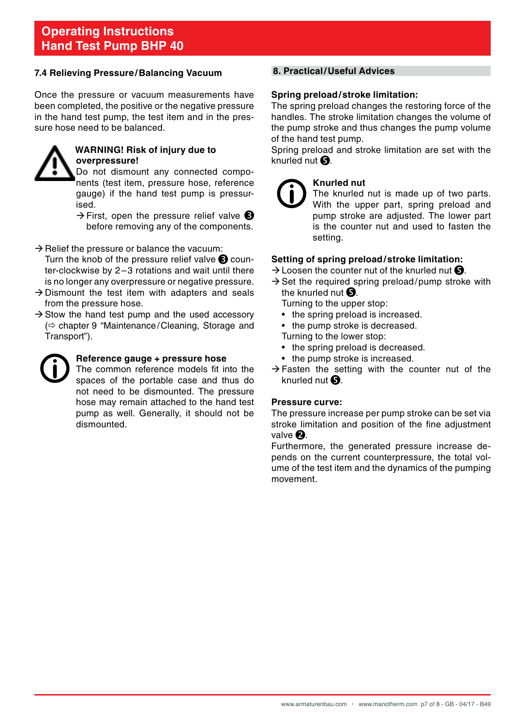#### **7.4 Relieving Pressure/Balancing Vacuum**

Once the pressure or vacuum measurements have been completed, the positive or the negative pressure in the hand test pump, the test item and in the pressure hose need to be balanced.



#### **WARNING! Risk of injury due to overpressure!**

 Do not dismount any connected components (test item, pressure hose, reference gauge) if the hand test pump is pressurised.

 $\rightarrow$  First, open the pressure relief valve  $\bullet$ before removing any of the components.

- $\rightarrow$  Relief the pressure or balance the vacuum: Turn the knob of the pressure relief valve  $\bigcirc$  counter-clockwise by 2–3 rotations and wait until there is no longer any overpressure or negative pressure.
- $\rightarrow$  Dismount the test item with adapters and seals from the pressure hose.
- $\rightarrow$  Stow the hand test pump and the used accessory  $\Leftrightarrow$  chapter 9 "Maintenance/Cleaning, Storage and Transport").



#### **Reference gauge + pressure hose**

 The common reference models fit into the spaces of the portable case and thus do not need to be dismounted. The pressure hose may remain attached to the hand test pump as well. Generally, it should not be dismounted.

#### **8. Practical/Useful Advices**

#### **Spring preload/stroke limitation:**

The spring preload changes the restoring force of the handles. The stroke limitation changes the volume of the pump stroke and thus changes the pump volume of the hand test pump.

Spring preload and stroke limitation are set with the knurled nut  $\mathbf \Theta$ .



#### **Knurled nut**

 The knurled nut is made up of two parts. With the upper part, spring preload and pump stroke are adjusted. The lower part is the counter nut and used to fasten the setting.

#### **Setting of spring preload/stroke limitation:**

- $\rightarrow$  Loosen the counter nut of the knurled nut  $\bullet$ .
- $\rightarrow$  Set the required spring preload/pump stroke with the knurled nut  $\mathbf \Theta$ .

 Turning to the upper stop:

- the spring preload is increased.
- the pump stroke is decreased.

 Turning to the lower stop:

- the spring preload is decreased.
- the pump stroke is increased.
- $\rightarrow$  Fasten the setting with the counter nut of the knurled nut  $\mathbf{\Omega}$ .

#### **Pressure curve:**

The pressure increase per pump stroke can be set via stroke limitation and position of the fine adjustment valve $\mathbf a$ 

Furthermore, the generated pressure increase depends on the current counterpressure, the total volume of the test item and the dynamics of the pumping movement.